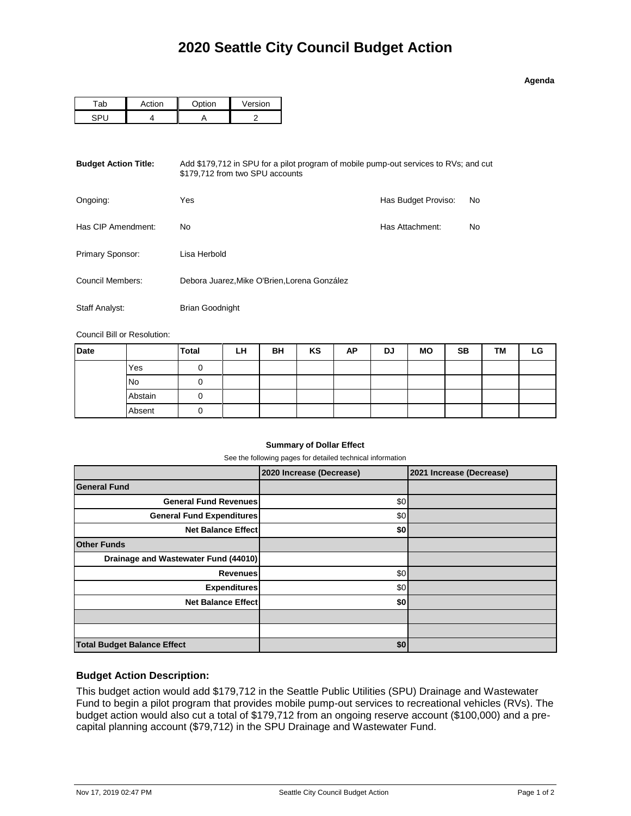| Adend |  |
|-------|--|
|       |  |

| ` ~ti∩n | $\sim$ $\sim$ $\sim$ $\sim$ $\sim$ | Version |  |  |
|---------|------------------------------------|---------|--|--|
|         |                                    |         |  |  |

| <b>Budget Action Title:</b> | Add \$179,712 in SPU for a pilot program of mobile pump-out services to RVs; and cut<br>\$179.712 from two SPU accounts |                     |    |  |  |  |  |
|-----------------------------|-------------------------------------------------------------------------------------------------------------------------|---------------------|----|--|--|--|--|
| Ongoing:                    | Yes                                                                                                                     | Has Budget Proviso: | No |  |  |  |  |
| Has CIP Amendment:          | No.                                                                                                                     | Has Attachment:     | No |  |  |  |  |
| Primary Sponsor:            | Lisa Herbold                                                                                                            |                     |    |  |  |  |  |
| Council Members:            | Debora Juarez, Mike O'Brien, Lorena González                                                                            |                     |    |  |  |  |  |
| Staff Analyst:              | <b>Brian Goodnight</b>                                                                                                  |                     |    |  |  |  |  |

Council Bill or Resolution:

| <b>Date</b> |         | <b>Total</b> | LH | BH | KS | AP | <b>DJ</b> | <b>MO</b> | <b>SB</b> | <b>TM</b> | LG |
|-------------|---------|--------------|----|----|----|----|-----------|-----------|-----------|-----------|----|
|             | Yes     |              |    |    |    |    |           |           |           |           |    |
|             | No      |              |    |    |    |    |           |           |           |           |    |
|             | Abstain |              |    |    |    |    |           |           |           |           |    |
|             | Absent  |              |    |    |    |    |           |           |           |           |    |

#### **Summary of Dollar Effect**

See the following pages for detailed technical information

|                                      | 2020 Increase (Decrease) | 2021 Increase (Decrease) |
|--------------------------------------|--------------------------|--------------------------|
| <b>General Fund</b>                  |                          |                          |
| <b>General Fund Revenues</b>         | \$0                      |                          |
| <b>General Fund Expenditures</b>     | \$0                      |                          |
| <b>Net Balance Effect</b>            | \$0                      |                          |
| <b>Other Funds</b>                   |                          |                          |
| Drainage and Wastewater Fund (44010) |                          |                          |
| <b>Revenues</b>                      | \$0                      |                          |
| <b>Expenditures</b>                  | \$0                      |                          |
| <b>Net Balance Effect</b>            | \$0                      |                          |
|                                      |                          |                          |
|                                      |                          |                          |
| <b>Total Budget Balance Effect</b>   | \$0                      |                          |

## **Budget Action Description:**

This budget action would add \$179,712 in the Seattle Public Utilities (SPU) Drainage and Wastewater Fund to begin a pilot program that provides mobile pump-out services to recreational vehicles (RVs). The budget action would also cut a total of \$179,712 from an ongoing reserve account (\$100,000) and a precapital planning account (\$79,712) in the SPU Drainage and Wastewater Fund.